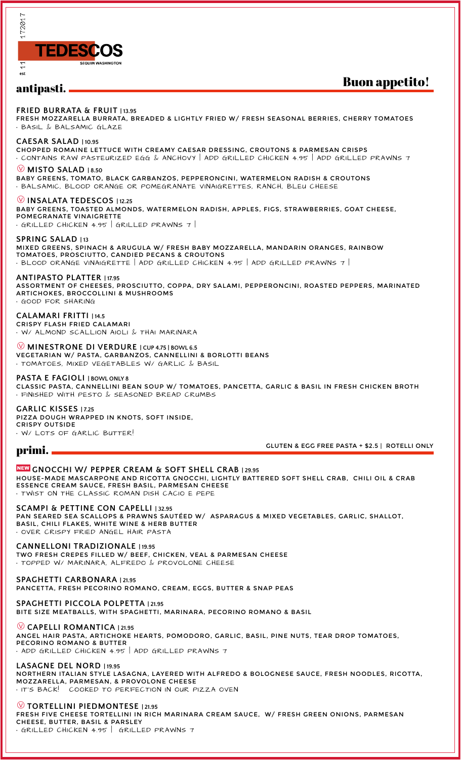

# antipasti.

# Buon appetito!

**FRIED BURRATA & FRUIT | 13.95**

FRESH MOZZARELLA BURRATA, BREADED & LIGHTLY FRIED W/ FRESH SEASONAL BERRIES, CHERRY TOMATOES • BASIL & BALSAMIC GLAZE

#### **CAESAR SALAD | 10.95**

CHOPPED ROMAINE LETTUCE WITH CREAMY CAESAR DRESSING, CROUTONS & PARMESAN CRISPS • CONTAINS RAW PASTEURIZED EGG & ANCHOVY | ADD GRILLED CHICKEN 4.95 | ADD GRILLED PRAWNS 7

## Å **MISTO SALAD | 8.50**

BABY GREENS, TOMATO, BLACK GARBANZOS, PEPPERONCINI, WATERMELON RADISH & CROUTONS • BALSAMIC, BLOOD ORANGE OR POMEGRANATE VINAIGRETTES, RANCH, BLEU CHEESE

Å**INSALATA TEDESCOS | 12.25** BABY GREENS, TOASTED ALMONDS, WATERMELON RADISH, APPLES, FIGS, STRAWBERRIES, GOAT CHEESE, POMEGRANATE VINAIGRETTE • GRILLED CHICKEN 4.95 | GRILLED PRAWNS 7 |

**SPRING SALAD | 13** MIXED GREENS, SPINACH & ARUGULA W/ FRESH BABY MOZZARELLA, MANDARIN ORANGES, RAINBOW TOMATOES, PROSCIUTTO, CANDIED PECANS & CROUTONS  $\cdot$  BLOOD ORANGE VINAIGRETTE | ADD GRILLED CHICKEN 4.95 | ADD GRILLED PRAWNS 7 |

**ANTIPASTO PLATTER | 17.95** ASSORTMENT OF CHEESES, PROSCIUTTO, COPPA, DRY SALAMI, PEPPERONCINI, ROASTED PEPPERS, MARINATED ARTICHOKES, BROCCOLLINI & MUSHROOMS • GOOD FOR SHARING

**CALAMARI FRITTI | 14.5** CRISPY FLASH FRIED CALAMARI • W/ ALMOND SCALLION AIOLI & THAI MARINARA

Å **MINESTRONE DI VERDURE | CUP 4.75 | BOWL 6.5** VEGETARIAN W/ PASTA, GARBANZOS, CANNELLINI & BORLOTTI BEANS • TOMATOES, MIXED VEGETABLES W/ GARLIC & BASIL

#### **PASTA E FAGIOLI | BOWL ONLY 8**

CLASSIC PASTA, CANNELLINI BEAN SOUP W/ TOMATOES, PANCETTA, GARLIC & BASIL IN FRESH CHICKEN BROTH • FINISHED WITH PESTO & SEASONED BREAD CRUMBS

**GARLIC KISSES | 7.25** PIZZA DOUGH WRAPPED IN KNOTS, SOFT INSIDE, CRISPY OUTSIDE W/ LOTS OF GARLIC BUTTER!

# primi.

GLUTEN & EGG FREE PASTA + \$2.5 | ROTELLI ONLY

## ,**GNOCCHI W/ PEPPER CREAM & SOFT SHELL CRAB | 29.95**

HOUSE-MADE MASCARPONE AND RICOTTA GNOCCHI, LIGHTLY BATTERED SOFT SHELL CRAB, CHILI OIL & CRAB ESSENCE CREAM SAUCE, FRESH BASIL, PARMESAN CHEESE • TWIST ON THE CLASSIC ROMAN DISH CACIO E PEPE

#### **SCAMPI & PETTINE CON CAPELLI | 32.95**

PAN SEARED SEA SCALLOPS & PRAWNS SAUTÉED W/ ASPARAGUS & MIXED VEGETABLES, GARLIC, SHALLOT, BASIL, CHILI FLAKES, WHITE WINE & HERB BUTTER • OVER CRISPY FRIED ANGEL HAIR PASTA

### **CANNELLONI TRADIZIONALE | 19.95**

TWO FRESH CREPES FILLED W/ BEEF, CHICKEN, VEAL & PARMESAN CHEESE • TOPPED W/ MARINARA, ALFREDO & PROVOLONE CHEESE

## **SPAGHETTI CARBONARA | 21.95**

PANCETTA, FRESH PECORINO ROMANO, CREAM, EGGS, BUTTER & SNAP PEAS

**SPAGHETTI PICCOLA POLPETTA | 21.95** BITE SIZE MEATBALLS, WITH SPAGHETTI, MARINARA, PECORINO ROMANO & BASIL

# Å**CAPELLI ROMANTICA | 21.95**

ANGEL HAIR PASTA, ARTICHOKE HEARTS, POMODORO, GARLIC, BASIL, PINE NUTS, TEAR DROP TOMATOES, PECORINO ROMANO & BUTTER

• ADD GRILLED CHICKEN 4.95 | ADD GRILLED PRAWNS 7

**LASAGNE DEL NORD | 19.95** NORTHERN ITALIAN STYLE LASAGNA, LAYERED WITH ALFREDO & BOLOGNESE SAUCE, FRESH NOODLES, RICOTTA, MOZZARELLA, PARMESAN, & PROVOLONE CHEESE • IT'S BACK! COOKED TO PERFECTION IN OUR PIZZA OVEN

Å**TORTELLINI PIEDMONTESE | 21.95**

FRESH FIVE CHEESE TORTELLINI IN RICH MARINARA CREAM SAUCE, W/ FRESH GREEN ONIONS, PARMESAN CHEESE, BUTTER, BASIL & PARSLEY

• GRILLED CHICKEN 4.95 | GRILLED PRAWNS 7